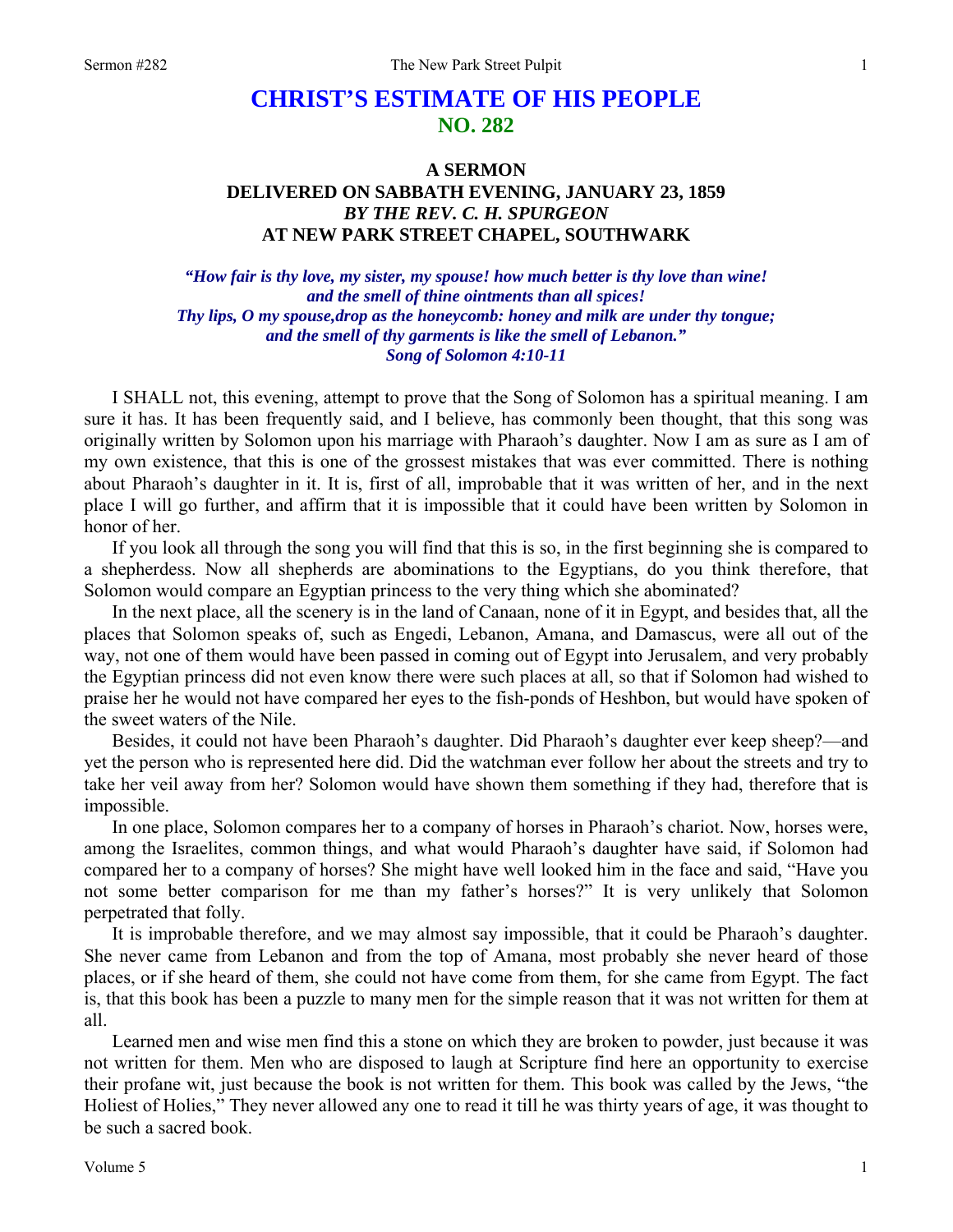## **CHRIST'S ESTIMATE OF HIS PEOPLE NO. 282**

## **A SERMON DELIVERED ON SABBATH EVENING, JANUARY 23, 1859**  *BY THE REV. C. H. SPURGEON*  **AT NEW PARK STREET CHAPEL, SOUTHWARK**

*"How fair is thy love, my sister, my spouse! how much better is thy love than wine! and the smell of thine ointments than all spices! Thy lips, O my spouse,drop as the honeycomb: honey and milk are under thy tongue; and the smell of thy garments is like the smell of Lebanon." Song of Solomon 4:10-11* 

I SHALL not, this evening, attempt to prove that the Song of Solomon has a spiritual meaning. I am sure it has. It has been frequently said, and I believe, has commonly been thought, that this song was originally written by Solomon upon his marriage with Pharaoh's daughter. Now I am as sure as I am of my own existence, that this is one of the grossest mistakes that was ever committed. There is nothing about Pharaoh's daughter in it. It is, first of all, improbable that it was written of her, and in the next place I will go further, and affirm that it is impossible that it could have been written by Solomon in honor of her.

If you look all through the song you will find that this is so, in the first beginning she is compared to a shepherdess. Now all shepherds are abominations to the Egyptians, do you think therefore, that Solomon would compare an Egyptian princess to the very thing which she abominated?

In the next place, all the scenery is in the land of Canaan, none of it in Egypt, and besides that, all the places that Solomon speaks of, such as Engedi, Lebanon, Amana, and Damascus, were all out of the way, not one of them would have been passed in coming out of Egypt into Jerusalem, and very probably the Egyptian princess did not even know there were such places at all, so that if Solomon had wished to praise her he would not have compared her eyes to the fish-ponds of Heshbon, but would have spoken of the sweet waters of the Nile.

Besides, it could not have been Pharaoh's daughter. Did Pharaoh's daughter ever keep sheep?—and yet the person who is represented here did. Did the watchman ever follow her about the streets and try to take her veil away from her? Solomon would have shown them something if they had, therefore that is impossible.

In one place, Solomon compares her to a company of horses in Pharaoh's chariot. Now, horses were, among the Israelites, common things, and what would Pharaoh's daughter have said, if Solomon had compared her to a company of horses? She might have well looked him in the face and said, "Have you not some better comparison for me than my father's horses?" It is very unlikely that Solomon perpetrated that folly.

It is improbable therefore, and we may almost say impossible, that it could be Pharaoh's daughter. She never came from Lebanon and from the top of Amana, most probably she never heard of those places, or if she heard of them, she could not have come from them, for she came from Egypt. The fact is, that this book has been a puzzle to many men for the simple reason that it was not written for them at all.

Learned men and wise men find this a stone on which they are broken to powder, just because it was not written for them. Men who are disposed to laugh at Scripture find here an opportunity to exercise their profane wit, just because the book is not written for them. This book was called by the Jews, "the Holiest of Holies," They never allowed any one to read it till he was thirty years of age, it was thought to be such a sacred book.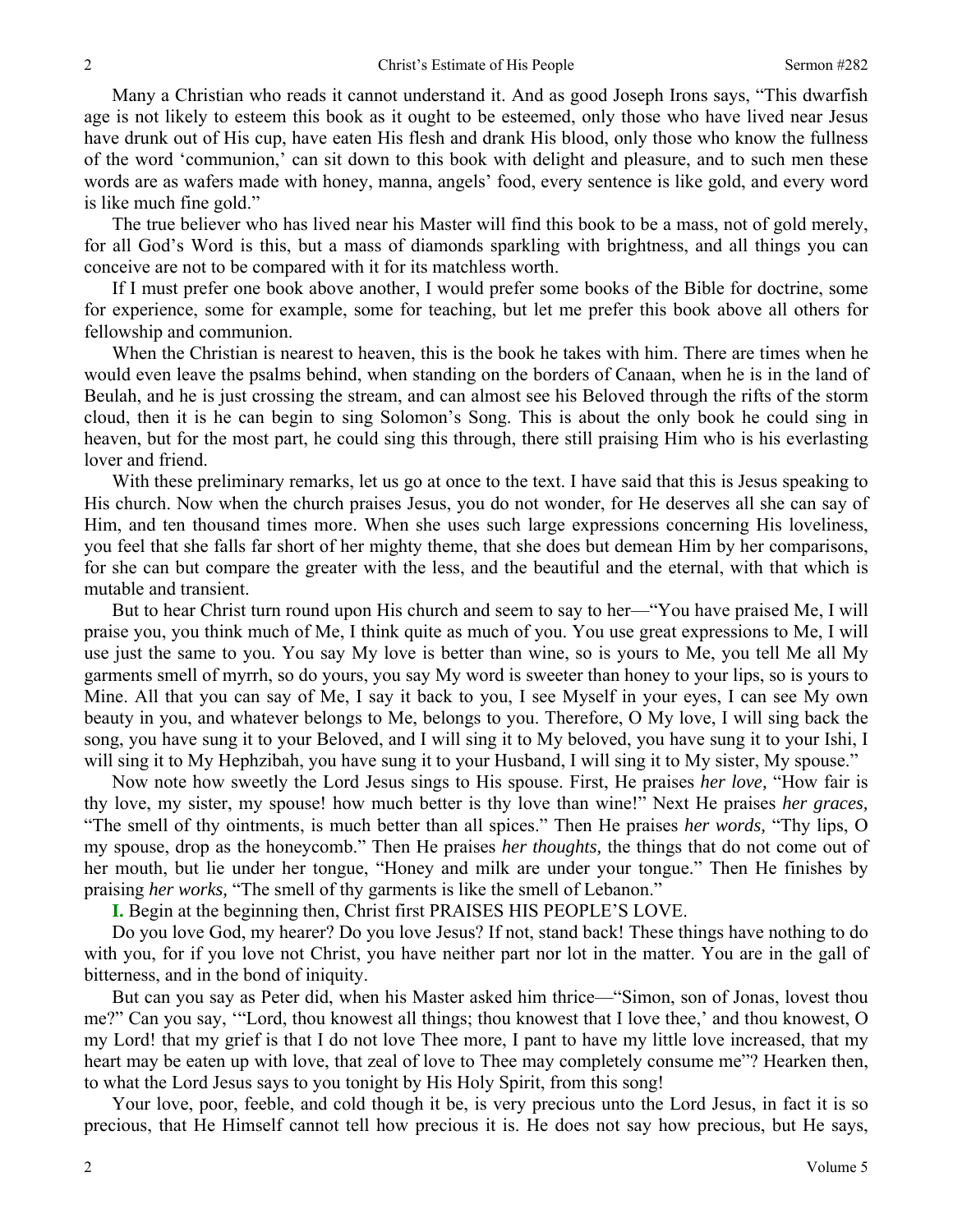Many a Christian who reads it cannot understand it. And as good Joseph Irons says, "This dwarfish age is not likely to esteem this book as it ought to be esteemed, only those who have lived near Jesus have drunk out of His cup, have eaten His flesh and drank His blood, only those who know the fullness of the word 'communion,' can sit down to this book with delight and pleasure, and to such men these words are as wafers made with honey, manna, angels' food, every sentence is like gold, and every word is like much fine gold."

The true believer who has lived near his Master will find this book to be a mass, not of gold merely, for all God's Word is this, but a mass of diamonds sparkling with brightness, and all things you can conceive are not to be compared with it for its matchless worth.

If I must prefer one book above another, I would prefer some books of the Bible for doctrine, some for experience, some for example, some for teaching, but let me prefer this book above all others for fellowship and communion.

When the Christian is nearest to heaven, this is the book he takes with him. There are times when he would even leave the psalms behind, when standing on the borders of Canaan, when he is in the land of Beulah, and he is just crossing the stream, and can almost see his Beloved through the rifts of the storm cloud, then it is he can begin to sing Solomon's Song. This is about the only book he could sing in heaven, but for the most part, he could sing this through, there still praising Him who is his everlasting lover and friend.

With these preliminary remarks, let us go at once to the text. I have said that this is Jesus speaking to His church. Now when the church praises Jesus, you do not wonder, for He deserves all she can say of Him, and ten thousand times more. When she uses such large expressions concerning His loveliness, you feel that she falls far short of her mighty theme, that she does but demean Him by her comparisons, for she can but compare the greater with the less, and the beautiful and the eternal, with that which is mutable and transient.

But to hear Christ turn round upon His church and seem to say to her—"You have praised Me, I will praise you, you think much of Me, I think quite as much of you. You use great expressions to Me, I will use just the same to you. You say My love is better than wine, so is yours to Me, you tell Me all My garments smell of myrrh, so do yours, you say My word is sweeter than honey to your lips, so is yours to Mine. All that you can say of Me, I say it back to you, I see Myself in your eyes, I can see My own beauty in you, and whatever belongs to Me, belongs to you. Therefore, O My love, I will sing back the song, you have sung it to your Beloved, and I will sing it to My beloved, you have sung it to your Ishi, I will sing it to My Hephzibah, you have sung it to your Husband, I will sing it to My sister, My spouse."

Now note how sweetly the Lord Jesus sings to His spouse. First, He praises *her love,* "How fair is thy love, my sister, my spouse! how much better is thy love than wine!" Next He praises *her graces,* "The smell of thy ointments, is much better than all spices." Then He praises *her words,* "Thy lips, O my spouse, drop as the honeycomb." Then He praises *her thoughts,* the things that do not come out of her mouth, but lie under her tongue, "Honey and milk are under your tongue." Then He finishes by praising *her works,* "The smell of thy garments is like the smell of Lebanon."

**I.** Begin at the beginning then, Christ first PRAISES HIS PEOPLE'S LOVE.

Do you love God, my hearer? Do you love Jesus? If not, stand back! These things have nothing to do with you, for if you love not Christ, you have neither part nor lot in the matter. You are in the gall of bitterness, and in the bond of iniquity.

But can you say as Peter did, when his Master asked him thrice—"Simon, son of Jonas, lovest thou me?" Can you say, '"Lord, thou knowest all things; thou knowest that I love thee,' and thou knowest, O my Lord! that my grief is that I do not love Thee more, I pant to have my little love increased, that my heart may be eaten up with love, that zeal of love to Thee may completely consume me"? Hearken then, to what the Lord Jesus says to you tonight by His Holy Spirit, from this song!

Your love, poor, feeble, and cold though it be, is very precious unto the Lord Jesus, in fact it is so precious, that He Himself cannot tell how precious it is. He does not say how precious, but He says,

2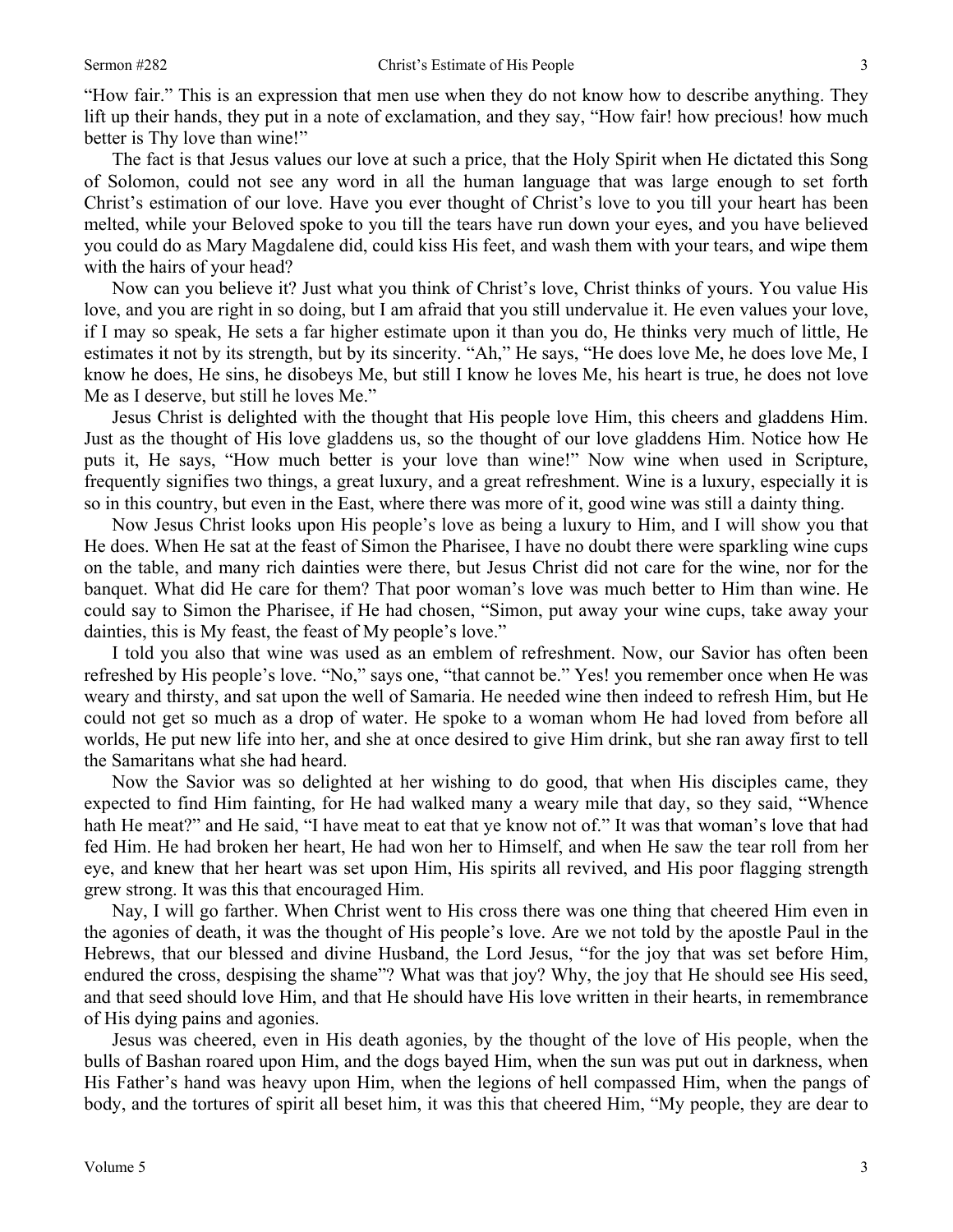"How fair." This is an expression that men use when they do not know how to describe anything. They lift up their hands, they put in a note of exclamation, and they say, "How fair! how precious! how much better is Thy love than wine!"

The fact is that Jesus values our love at such a price, that the Holy Spirit when He dictated this Song of Solomon, could not see any word in all the human language that was large enough to set forth Christ's estimation of our love. Have you ever thought of Christ's love to you till your heart has been melted, while your Beloved spoke to you till the tears have run down your eyes, and you have believed you could do as Mary Magdalene did, could kiss His feet, and wash them with your tears, and wipe them with the hairs of your head?

Now can you believe it? Just what you think of Christ's love, Christ thinks of yours. You value His love, and you are right in so doing, but I am afraid that you still undervalue it. He even values your love, if I may so speak, He sets a far higher estimate upon it than you do, He thinks very much of little, He estimates it not by its strength, but by its sincerity. "Ah," He says, "He does love Me, he does love Me, I know he does, He sins, he disobeys Me, but still I know he loves Me, his heart is true, he does not love Me as I deserve, but still he loves Me."

Jesus Christ is delighted with the thought that His people love Him, this cheers and gladdens Him. Just as the thought of His love gladdens us, so the thought of our love gladdens Him. Notice how He puts it, He says, "How much better is your love than wine!" Now wine when used in Scripture, frequently signifies two things, a great luxury, and a great refreshment. Wine is a luxury, especially it is so in this country, but even in the East, where there was more of it, good wine was still a dainty thing.

Now Jesus Christ looks upon His people's love as being a luxury to Him, and I will show you that He does. When He sat at the feast of Simon the Pharisee, I have no doubt there were sparkling wine cups on the table, and many rich dainties were there, but Jesus Christ did not care for the wine, nor for the banquet. What did He care for them? That poor woman's love was much better to Him than wine. He could say to Simon the Pharisee, if He had chosen, "Simon, put away your wine cups, take away your dainties, this is My feast, the feast of My people's love."

I told you also that wine was used as an emblem of refreshment. Now, our Savior has often been refreshed by His people's love. "No," says one, "that cannot be." Yes! you remember once when He was weary and thirsty, and sat upon the well of Samaria. He needed wine then indeed to refresh Him, but He could not get so much as a drop of water. He spoke to a woman whom He had loved from before all worlds, He put new life into her, and she at once desired to give Him drink, but she ran away first to tell the Samaritans what she had heard.

Now the Savior was so delighted at her wishing to do good, that when His disciples came, they expected to find Him fainting, for He had walked many a weary mile that day, so they said, "Whence hath He meat?" and He said, "I have meat to eat that ye know not of." It was that woman's love that had fed Him. He had broken her heart, He had won her to Himself, and when He saw the tear roll from her eye, and knew that her heart was set upon Him, His spirits all revived, and His poor flagging strength grew strong. It was this that encouraged Him.

Nay, I will go farther. When Christ went to His cross there was one thing that cheered Him even in the agonies of death, it was the thought of His people's love. Are we not told by the apostle Paul in the Hebrews, that our blessed and divine Husband, the Lord Jesus, "for the joy that was set before Him, endured the cross, despising the shame"? What was that joy? Why, the joy that He should see His seed, and that seed should love Him, and that He should have His love written in their hearts, in remembrance of His dying pains and agonies.

Jesus was cheered, even in His death agonies, by the thought of the love of His people, when the bulls of Bashan roared upon Him, and the dogs bayed Him, when the sun was put out in darkness, when His Father's hand was heavy upon Him, when the legions of hell compassed Him, when the pangs of body, and the tortures of spirit all beset him, it was this that cheered Him, "My people, they are dear to

3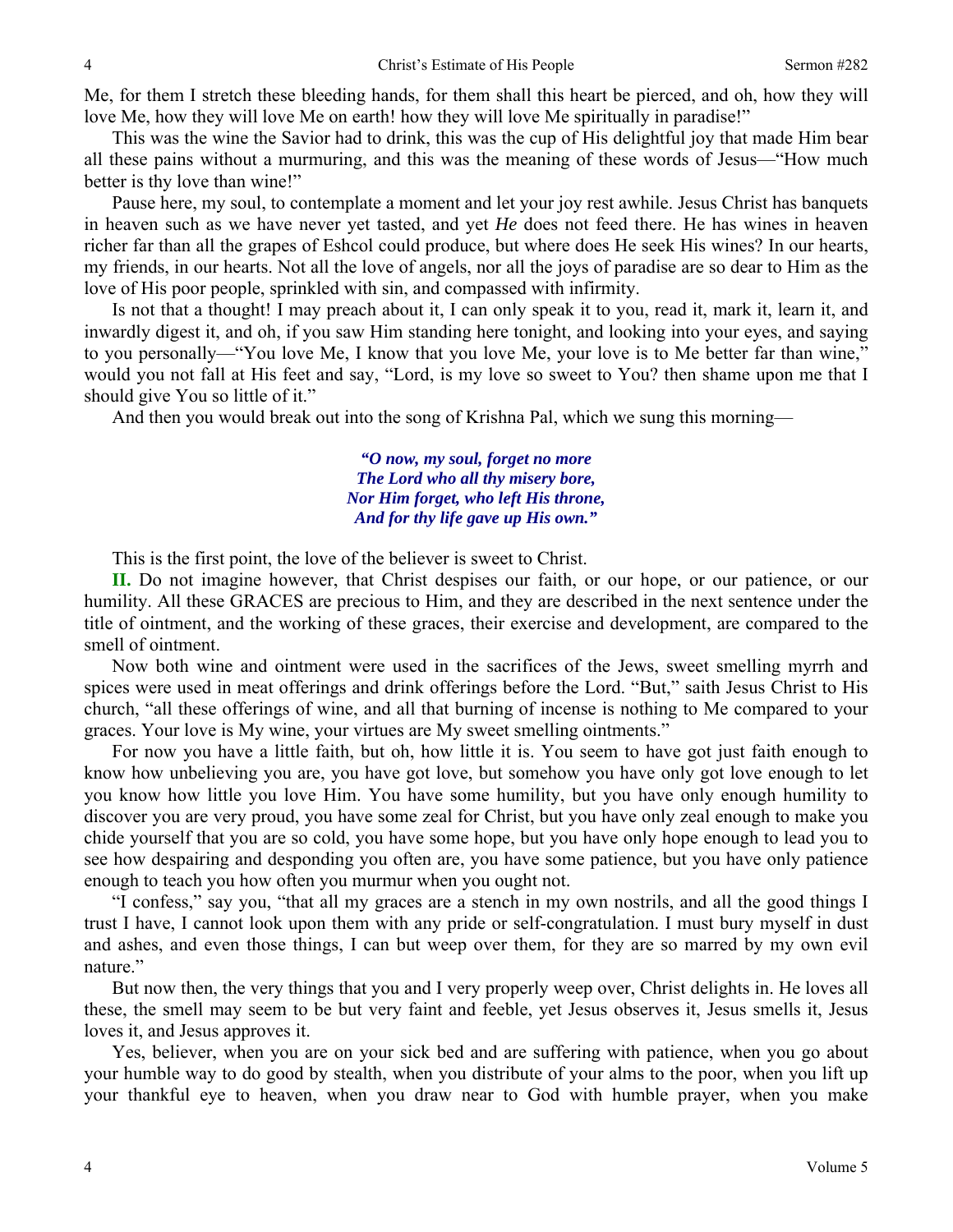Me, for them I stretch these bleeding hands, for them shall this heart be pierced, and oh, how they will love Me, how they will love Me on earth! how they will love Me spiritually in paradise!"

This was the wine the Savior had to drink, this was the cup of His delightful joy that made Him bear all these pains without a murmuring, and this was the meaning of these words of Jesus—"How much better is thy love than wine!"

Pause here, my soul, to contemplate a moment and let your joy rest awhile. Jesus Christ has banquets in heaven such as we have never yet tasted, and yet *He* does not feed there. He has wines in heaven richer far than all the grapes of Eshcol could produce, but where does He seek His wines? In our hearts, my friends, in our hearts. Not all the love of angels, nor all the joys of paradise are so dear to Him as the love of His poor people, sprinkled with sin, and compassed with infirmity.

Is not that a thought! I may preach about it, I can only speak it to you, read it, mark it, learn it, and inwardly digest it, and oh, if you saw Him standing here tonight, and looking into your eyes, and saying to you personally—"You love Me, I know that you love Me, your love is to Me better far than wine," would you not fall at His feet and say, "Lord, is my love so sweet to You? then shame upon me that I should give You so little of it."

And then you would break out into the song of Krishna Pal, which we sung this morning—

*"O now, my soul, forget no more The Lord who all thy misery bore, Nor Him forget, who left His throne, And for thy life gave up His own."* 

This is the first point, the love of the believer is sweet to Christ.

**II.** Do not imagine however, that Christ despises our faith, or our hope, or our patience, or our humility. All these GRACES are precious to Him, and they are described in the next sentence under the title of ointment, and the working of these graces, their exercise and development, are compared to the smell of ointment.

Now both wine and ointment were used in the sacrifices of the Jews, sweet smelling myrrh and spices were used in meat offerings and drink offerings before the Lord. "But," saith Jesus Christ to His church, "all these offerings of wine, and all that burning of incense is nothing to Me compared to your graces. Your love is My wine, your virtues are My sweet smelling ointments."

For now you have a little faith, but oh, how little it is. You seem to have got just faith enough to know how unbelieving you are, you have got love, but somehow you have only got love enough to let you know how little you love Him. You have some humility, but you have only enough humility to discover you are very proud, you have some zeal for Christ, but you have only zeal enough to make you chide yourself that you are so cold, you have some hope, but you have only hope enough to lead you to see how despairing and desponding you often are, you have some patience, but you have only patience enough to teach you how often you murmur when you ought not.

"I confess," say you, "that all my graces are a stench in my own nostrils, and all the good things I trust I have, I cannot look upon them with any pride or self-congratulation. I must bury myself in dust and ashes, and even those things, I can but weep over them, for they are so marred by my own evil nature."

But now then, the very things that you and I very properly weep over, Christ delights in. He loves all these, the smell may seem to be but very faint and feeble, yet Jesus observes it, Jesus smells it, Jesus loves it, and Jesus approves it.

Yes, believer, when you are on your sick bed and are suffering with patience, when you go about your humble way to do good by stealth, when you distribute of your alms to the poor, when you lift up your thankful eye to heaven, when you draw near to God with humble prayer, when you make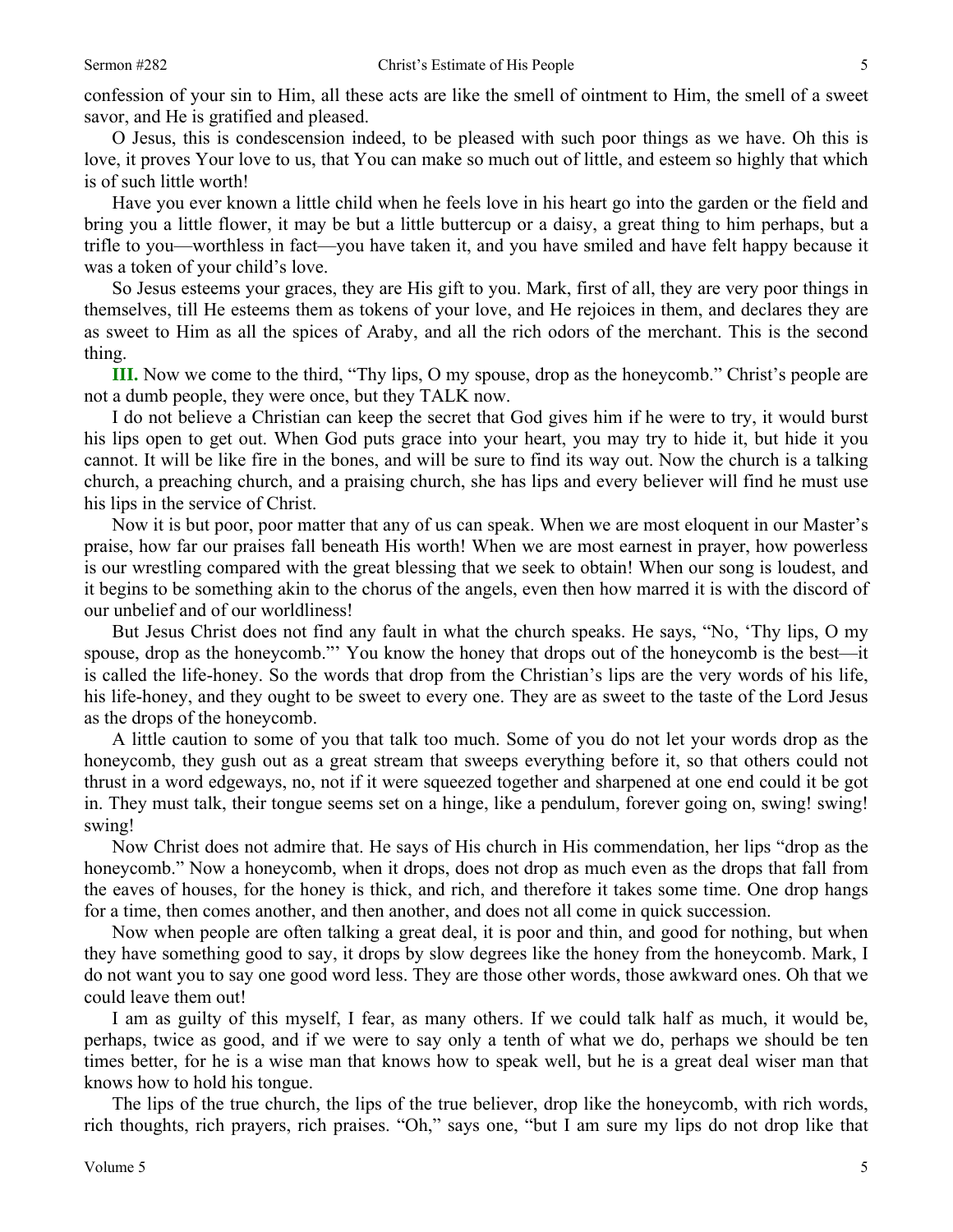confession of your sin to Him, all these acts are like the smell of ointment to Him, the smell of a sweet savor, and He is gratified and pleased.

O Jesus, this is condescension indeed, to be pleased with such poor things as we have. Oh this is love, it proves Your love to us, that You can make so much out of little, and esteem so highly that which is of such little worth!

Have you ever known a little child when he feels love in his heart go into the garden or the field and bring you a little flower, it may be but a little buttercup or a daisy, a great thing to him perhaps, but a trifle to you—worthless in fact—you have taken it, and you have smiled and have felt happy because it was a token of your child's love.

So Jesus esteems your graces, they are His gift to you. Mark, first of all, they are very poor things in themselves, till He esteems them as tokens of your love, and He rejoices in them, and declares they are as sweet to Him as all the spices of Araby, and all the rich odors of the merchant. This is the second thing.

**III.** Now we come to the third, "Thy lips, O my spouse, drop as the honeycomb." Christ's people are not a dumb people, they were once, but they TALK now.

I do not believe a Christian can keep the secret that God gives him if he were to try, it would burst his lips open to get out. When God puts grace into your heart, you may try to hide it, but hide it you cannot. It will be like fire in the bones, and will be sure to find its way out. Now the church is a talking church, a preaching church, and a praising church, she has lips and every believer will find he must use his lips in the service of Christ.

Now it is but poor, poor matter that any of us can speak. When we are most eloquent in our Master's praise, how far our praises fall beneath His worth! When we are most earnest in prayer, how powerless is our wrestling compared with the great blessing that we seek to obtain! When our song is loudest, and it begins to be something akin to the chorus of the angels, even then how marred it is with the discord of our unbelief and of our worldliness!

But Jesus Christ does not find any fault in what the church speaks. He says, "No, 'Thy lips, O my spouse, drop as the honeycomb."' You know the honey that drops out of the honeycomb is the best—it is called the life-honey. So the words that drop from the Christian's lips are the very words of his life, his life-honey, and they ought to be sweet to every one. They are as sweet to the taste of the Lord Jesus as the drops of the honeycomb.

A little caution to some of you that talk too much. Some of you do not let your words drop as the honeycomb, they gush out as a great stream that sweeps everything before it, so that others could not thrust in a word edgeways, no, not if it were squeezed together and sharpened at one end could it be got in. They must talk, their tongue seems set on a hinge, like a pendulum, forever going on, swing! swing! swing!

Now Christ does not admire that. He says of His church in His commendation, her lips "drop as the honeycomb." Now a honeycomb, when it drops, does not drop as much even as the drops that fall from the eaves of houses, for the honey is thick, and rich, and therefore it takes some time. One drop hangs for a time, then comes another, and then another, and does not all come in quick succession.

Now when people are often talking a great deal, it is poor and thin, and good for nothing, but when they have something good to say, it drops by slow degrees like the honey from the honeycomb. Mark, I do not want you to say one good word less. They are those other words, those awkward ones. Oh that we could leave them out!

I am as guilty of this myself, I fear, as many others. If we could talk half as much, it would be, perhaps, twice as good, and if we were to say only a tenth of what we do, perhaps we should be ten times better, for he is a wise man that knows how to speak well, but he is a great deal wiser man that knows how to hold his tongue.

The lips of the true church, the lips of the true believer, drop like the honeycomb, with rich words, rich thoughts, rich prayers, rich praises. "Oh," says one, "but I am sure my lips do not drop like that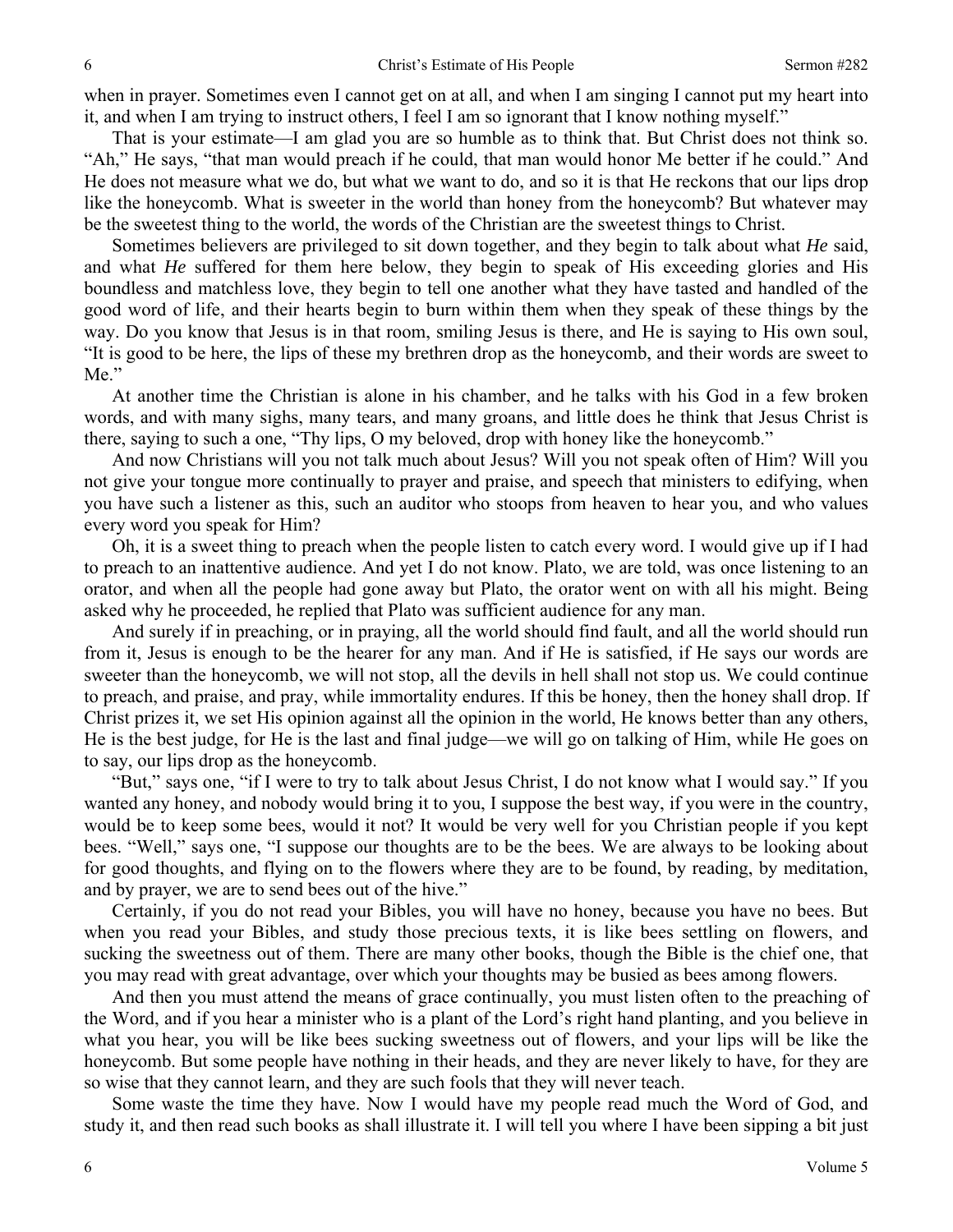when in prayer. Sometimes even I cannot get on at all, and when I am singing I cannot put my heart into it, and when I am trying to instruct others, I feel I am so ignorant that I know nothing myself."

That is your estimate—I am glad you are so humble as to think that. But Christ does not think so. "Ah," He says, "that man would preach if he could, that man would honor Me better if he could." And He does not measure what we do, but what we want to do, and so it is that He reckons that our lips drop like the honeycomb. What is sweeter in the world than honey from the honeycomb? But whatever may be the sweetest thing to the world, the words of the Christian are the sweetest things to Christ.

Sometimes believers are privileged to sit down together, and they begin to talk about what *He* said, and what *He* suffered for them here below, they begin to speak of His exceeding glories and His boundless and matchless love, they begin to tell one another what they have tasted and handled of the good word of life, and their hearts begin to burn within them when they speak of these things by the way. Do you know that Jesus is in that room, smiling Jesus is there, and He is saying to His own soul, "It is good to be here, the lips of these my brethren drop as the honeycomb, and their words are sweet to Me."

At another time the Christian is alone in his chamber, and he talks with his God in a few broken words, and with many sighs, many tears, and many groans, and little does he think that Jesus Christ is there, saying to such a one, "Thy lips, O my beloved, drop with honey like the honeycomb."

And now Christians will you not talk much about Jesus? Will you not speak often of Him? Will you not give your tongue more continually to prayer and praise, and speech that ministers to edifying, when you have such a listener as this, such an auditor who stoops from heaven to hear you, and who values every word you speak for Him?

Oh, it is a sweet thing to preach when the people listen to catch every word. I would give up if I had to preach to an inattentive audience. And yet I do not know. Plato, we are told, was once listening to an orator, and when all the people had gone away but Plato, the orator went on with all his might. Being asked why he proceeded, he replied that Plato was sufficient audience for any man.

And surely if in preaching, or in praying, all the world should find fault, and all the world should run from it, Jesus is enough to be the hearer for any man. And if He is satisfied, if He says our words are sweeter than the honeycomb, we will not stop, all the devils in hell shall not stop us. We could continue to preach, and praise, and pray, while immortality endures. If this be honey, then the honey shall drop. If Christ prizes it, we set His opinion against all the opinion in the world, He knows better than any others, He is the best judge, for He is the last and final judge—we will go on talking of Him, while He goes on to say, our lips drop as the honeycomb.

"But," says one, "if I were to try to talk about Jesus Christ, I do not know what I would say." If you wanted any honey, and nobody would bring it to you, I suppose the best way, if you were in the country, would be to keep some bees, would it not? It would be very well for you Christian people if you kept bees. "Well," says one, "I suppose our thoughts are to be the bees. We are always to be looking about for good thoughts, and flying on to the flowers where they are to be found, by reading, by meditation, and by prayer, we are to send bees out of the hive."

Certainly, if you do not read your Bibles, you will have no honey, because you have no bees. But when you read your Bibles, and study those precious texts, it is like bees settling on flowers, and sucking the sweetness out of them. There are many other books, though the Bible is the chief one, that you may read with great advantage, over which your thoughts may be busied as bees among flowers.

And then you must attend the means of grace continually, you must listen often to the preaching of the Word, and if you hear a minister who is a plant of the Lord's right hand planting, and you believe in what you hear, you will be like bees sucking sweetness out of flowers, and your lips will be like the honeycomb. But some people have nothing in their heads, and they are never likely to have, for they are so wise that they cannot learn, and they are such fools that they will never teach.

Some waste the time they have. Now I would have my people read much the Word of God, and study it, and then read such books as shall illustrate it. I will tell you where I have been sipping a bit just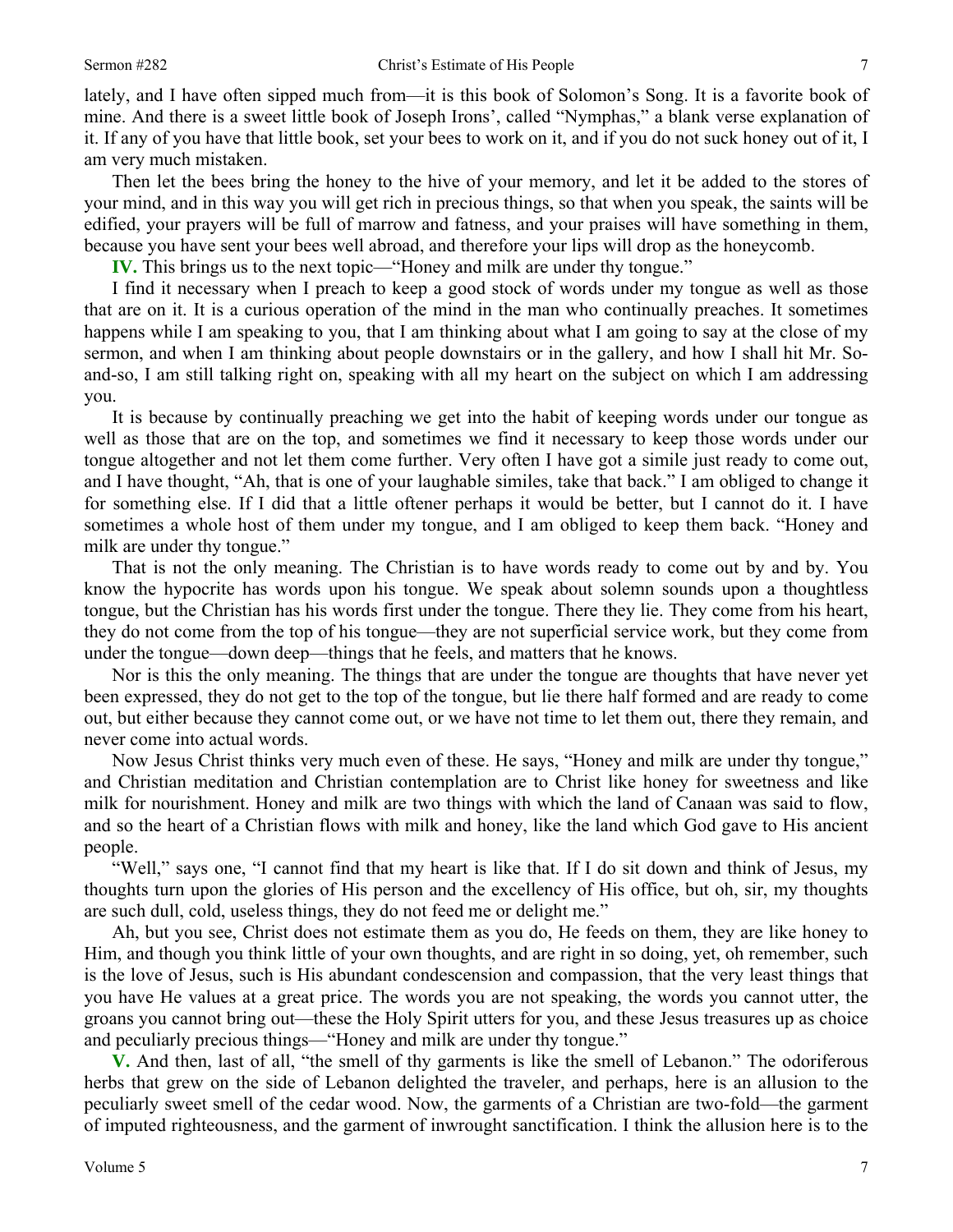lately, and I have often sipped much from—it is this book of Solomon's Song. It is a favorite book of mine. And there is a sweet little book of Joseph Irons', called "Nymphas," a blank verse explanation of it. If any of you have that little book, set your bees to work on it, and if you do not suck honey out of it, I am very much mistaken.

Then let the bees bring the honey to the hive of your memory, and let it be added to the stores of your mind, and in this way you will get rich in precious things, so that when you speak, the saints will be edified, your prayers will be full of marrow and fatness, and your praises will have something in them, because you have sent your bees well abroad, and therefore your lips will drop as the honeycomb.

**IV.** This brings us to the next topic—"Honey and milk are under thy tongue."

I find it necessary when I preach to keep a good stock of words under my tongue as well as those that are on it. It is a curious operation of the mind in the man who continually preaches. It sometimes happens while I am speaking to you, that I am thinking about what I am going to say at the close of my sermon, and when I am thinking about people downstairs or in the gallery, and how I shall hit Mr. Soand-so, I am still talking right on, speaking with all my heart on the subject on which I am addressing you.

It is because by continually preaching we get into the habit of keeping words under our tongue as well as those that are on the top, and sometimes we find it necessary to keep those words under our tongue altogether and not let them come further. Very often I have got a simile just ready to come out, and I have thought, "Ah, that is one of your laughable similes, take that back." I am obliged to change it for something else. If I did that a little oftener perhaps it would be better, but I cannot do it. I have sometimes a whole host of them under my tongue, and I am obliged to keep them back. "Honey and milk are under thy tongue."

That is not the only meaning. The Christian is to have words ready to come out by and by. You know the hypocrite has words upon his tongue. We speak about solemn sounds upon a thoughtless tongue, but the Christian has his words first under the tongue. There they lie. They come from his heart, they do not come from the top of his tongue—they are not superficial service work, but they come from under the tongue—down deep—things that he feels, and matters that he knows.

Nor is this the only meaning. The things that are under the tongue are thoughts that have never yet been expressed, they do not get to the top of the tongue, but lie there half formed and are ready to come out, but either because they cannot come out, or we have not time to let them out, there they remain, and never come into actual words.

Now Jesus Christ thinks very much even of these. He says, "Honey and milk are under thy tongue," and Christian meditation and Christian contemplation are to Christ like honey for sweetness and like milk for nourishment. Honey and milk are two things with which the land of Canaan was said to flow, and so the heart of a Christian flows with milk and honey, like the land which God gave to His ancient people.

"Well," says one, "I cannot find that my heart is like that. If I do sit down and think of Jesus, my thoughts turn upon the glories of His person and the excellency of His office, but oh, sir, my thoughts are such dull, cold, useless things, they do not feed me or delight me."

Ah, but you see, Christ does not estimate them as you do, He feeds on them, they are like honey to Him, and though you think little of your own thoughts, and are right in so doing, yet, oh remember, such is the love of Jesus, such is His abundant condescension and compassion, that the very least things that you have He values at a great price. The words you are not speaking, the words you cannot utter, the groans you cannot bring out—these the Holy Spirit utters for you, and these Jesus treasures up as choice and peculiarly precious things—"Honey and milk are under thy tongue."

**V.** And then, last of all, "the smell of thy garments is like the smell of Lebanon." The odoriferous herbs that grew on the side of Lebanon delighted the traveler, and perhaps, here is an allusion to the peculiarly sweet smell of the cedar wood. Now, the garments of a Christian are two-fold—the garment of imputed righteousness, and the garment of inwrought sanctification. I think the allusion here is to the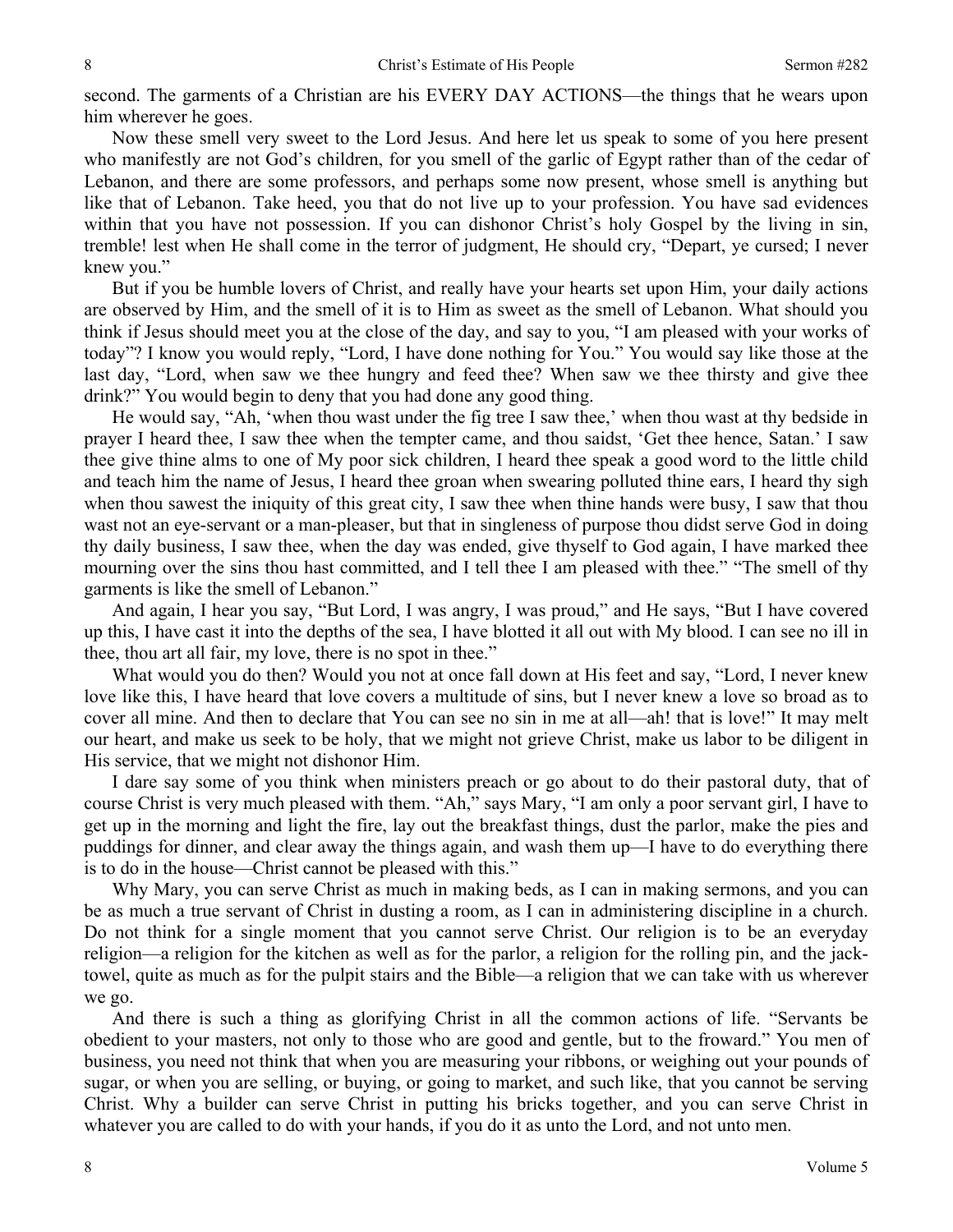second. The garments of a Christian are his EVERY DAY ACTIONS—the things that he wears upon him wherever he goes.

Now these smell very sweet to the Lord Jesus. And here let us speak to some of you here present who manifestly are not God's children, for you smell of the garlic of Egypt rather than of the cedar of Lebanon, and there are some professors, and perhaps some now present, whose smell is anything but like that of Lebanon. Take heed, you that do not live up to your profession. You have sad evidences within that you have not possession. If you can dishonor Christ's holy Gospel by the living in sin, tremble! lest when He shall come in the terror of judgment, He should cry, "Depart, ye cursed; I never knew you."

But if you be humble lovers of Christ, and really have your hearts set upon Him, your daily actions are observed by Him, and the smell of it is to Him as sweet as the smell of Lebanon. What should you think if Jesus should meet you at the close of the day, and say to you, "I am pleased with your works of today"? I know you would reply, "Lord, I have done nothing for You." You would say like those at the last day, "Lord, when saw we thee hungry and feed thee? When saw we thee thirsty and give thee drink?" You would begin to deny that you had done any good thing.

He would say, "Ah, 'when thou wast under the fig tree I saw thee,' when thou wast at thy bedside in prayer I heard thee, I saw thee when the tempter came, and thou saidst, 'Get thee hence, Satan.' I saw thee give thine alms to one of My poor sick children, I heard thee speak a good word to the little child and teach him the name of Jesus, I heard thee groan when swearing polluted thine ears, I heard thy sigh when thou sawest the iniquity of this great city, I saw thee when thine hands were busy, I saw that thou wast not an eye-servant or a man-pleaser, but that in singleness of purpose thou didst serve God in doing thy daily business, I saw thee, when the day was ended, give thyself to God again, I have marked thee mourning over the sins thou hast committed, and I tell thee I am pleased with thee." "The smell of thy garments is like the smell of Lebanon."

And again, I hear you say, "But Lord, I was angry, I was proud," and He says, "But I have covered up this, I have cast it into the depths of the sea, I have blotted it all out with My blood. I can see no ill in thee, thou art all fair, my love, there is no spot in thee."

What would you do then? Would you not at once fall down at His feet and say, "Lord, I never knew love like this, I have heard that love covers a multitude of sins, but I never knew a love so broad as to cover all mine. And then to declare that You can see no sin in me at all—ah! that is love!" It may melt our heart, and make us seek to be holy, that we might not grieve Christ, make us labor to be diligent in His service, that we might not dishonor Him.

I dare say some of you think when ministers preach or go about to do their pastoral duty, that of course Christ is very much pleased with them. "Ah," says Mary, "I am only a poor servant girl, I have to get up in the morning and light the fire, lay out the breakfast things, dust the parlor, make the pies and puddings for dinner, and clear away the things again, and wash them up—I have to do everything there is to do in the house—Christ cannot be pleased with this."

Why Mary, you can serve Christ as much in making beds, as I can in making sermons, and you can be as much a true servant of Christ in dusting a room, as I can in administering discipline in a church. Do not think for a single moment that you cannot serve Christ. Our religion is to be an everyday religion—a religion for the kitchen as well as for the parlor, a religion for the rolling pin, and the jacktowel, quite as much as for the pulpit stairs and the Bible—a religion that we can take with us wherever we go.

And there is such a thing as glorifying Christ in all the common actions of life. "Servants be obedient to your masters, not only to those who are good and gentle, but to the froward." You men of business, you need not think that when you are measuring your ribbons, or weighing out your pounds of sugar, or when you are selling, or buying, or going to market, and such like, that you cannot be serving Christ. Why a builder can serve Christ in putting his bricks together, and you can serve Christ in whatever you are called to do with your hands, if you do it as unto the Lord, and not unto men.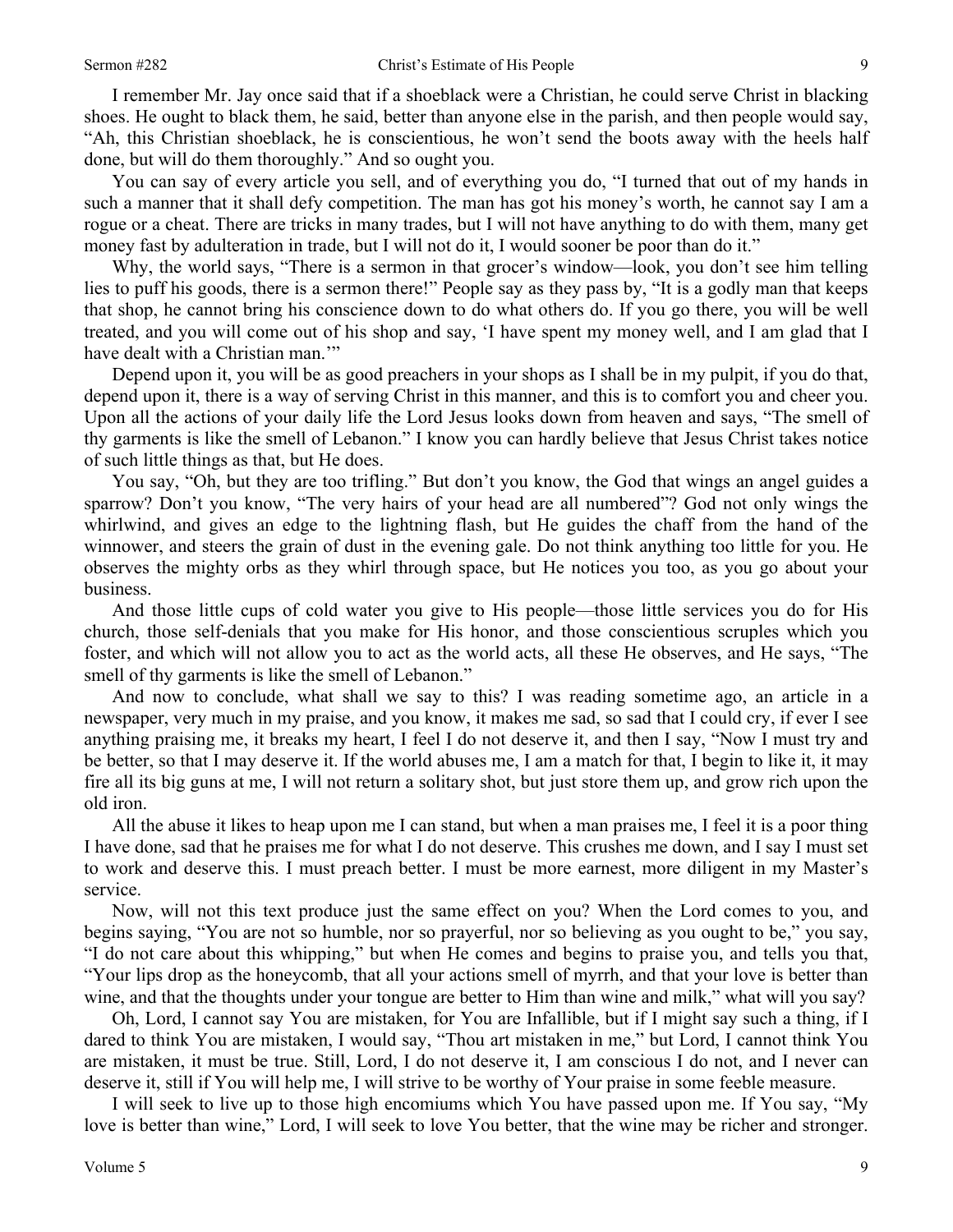I remember Mr. Jay once said that if a shoeblack were a Christian, he could serve Christ in blacking shoes. He ought to black them, he said, better than anyone else in the parish, and then people would say, "Ah, this Christian shoeblack, he is conscientious, he won't send the boots away with the heels half done, but will do them thoroughly." And so ought you.

You can say of every article you sell, and of everything you do, "I turned that out of my hands in such a manner that it shall defy competition. The man has got his money's worth, he cannot say I am a rogue or a cheat. There are tricks in many trades, but I will not have anything to do with them, many get money fast by adulteration in trade, but I will not do it, I would sooner be poor than do it."

Why, the world says, "There is a sermon in that grocer's window—look, you don't see him telling lies to puff his goods, there is a sermon there!" People say as they pass by, "It is a godly man that keeps that shop, he cannot bring his conscience down to do what others do. If you go there, you will be well treated, and you will come out of his shop and say, 'I have spent my money well, and I am glad that I have dealt with a Christian man.""

Depend upon it, you will be as good preachers in your shops as I shall be in my pulpit, if you do that, depend upon it, there is a way of serving Christ in this manner, and this is to comfort you and cheer you. Upon all the actions of your daily life the Lord Jesus looks down from heaven and says, "The smell of thy garments is like the smell of Lebanon." I know you can hardly believe that Jesus Christ takes notice of such little things as that, but He does.

You say, "Oh, but they are too trifling." But don't you know, the God that wings an angel guides a sparrow? Don't you know, "The very hairs of your head are all numbered"? God not only wings the whirlwind, and gives an edge to the lightning flash, but He guides the chaff from the hand of the winnower, and steers the grain of dust in the evening gale. Do not think anything too little for you. He observes the mighty orbs as they whirl through space, but He notices you too, as you go about your business.

And those little cups of cold water you give to His people—those little services you do for His church, those self-denials that you make for His honor, and those conscientious scruples which you foster, and which will not allow you to act as the world acts, all these He observes, and He says, "The smell of thy garments is like the smell of Lebanon."

And now to conclude, what shall we say to this? I was reading sometime ago, an article in a newspaper, very much in my praise, and you know, it makes me sad, so sad that I could cry, if ever I see anything praising me, it breaks my heart, I feel I do not deserve it, and then I say, "Now I must try and be better, so that I may deserve it. If the world abuses me, I am a match for that, I begin to like it, it may fire all its big guns at me, I will not return a solitary shot, but just store them up, and grow rich upon the old iron.

All the abuse it likes to heap upon me I can stand, but when a man praises me, I feel it is a poor thing I have done, sad that he praises me for what I do not deserve. This crushes me down, and I say I must set to work and deserve this. I must preach better. I must be more earnest, more diligent in my Master's service.

Now, will not this text produce just the same effect on you? When the Lord comes to you, and begins saying, "You are not so humble, nor so prayerful, nor so believing as you ought to be," you say, "I do not care about this whipping," but when He comes and begins to praise you, and tells you that, "Your lips drop as the honeycomb, that all your actions smell of myrrh, and that your love is better than wine, and that the thoughts under your tongue are better to Him than wine and milk," what will you say?

Oh, Lord, I cannot say You are mistaken, for You are Infallible, but if I might say such a thing, if I dared to think You are mistaken, I would say, "Thou art mistaken in me," but Lord, I cannot think You are mistaken, it must be true. Still, Lord, I do not deserve it, I am conscious I do not, and I never can deserve it, still if You will help me, I will strive to be worthy of Your praise in some feeble measure.

I will seek to live up to those high encomiums which You have passed upon me. If You say, "My love is better than wine," Lord, I will seek to love You better, that the wine may be richer and stronger.